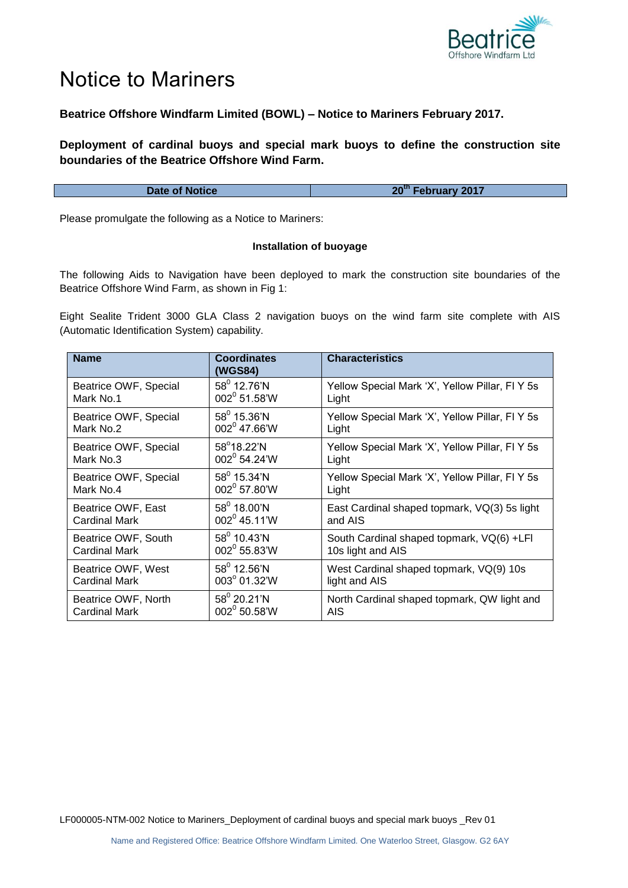

## Notice to Mariners

## **Beatrice Offshore Windfarm Limited (BOWL) – Notice to Mariners February 2017.**

**Deployment of cardinal buoys and special mark buoys to define the construction site boundaries of the Beatrice Offshore Wind Farm.**

Please promulgate the following as a Notice to Mariners:

## **Installation of buoyage**

The following Aids to Navigation have been deployed to mark the construction site boundaries of the Beatrice Offshore Wind Farm, as shown in Fig 1:

Eight Sealite Trident 3000 GLA Class 2 navigation buoys on the wind farm site complete with AIS (Automatic Identification System) capability.

| <b>Name</b>           | <b>Coordinates</b><br>(WGS84) | <b>Characteristics</b>                          |
|-----------------------|-------------------------------|-------------------------------------------------|
| Beatrice OWF, Special | $58^{\circ}$ 12.76'N          | Yellow Special Mark 'X', Yellow Pillar, FI Y 5s |
| Mark No.1             | $002^0$ 51.58'W               | Light                                           |
| Beatrice OWF, Special | $58^0$ 15.36'N                | Yellow Special Mark 'X', Yellow Pillar, FI Y 5s |
| Mark No.2             | $002^0$ 47.66'W               | Light                                           |
| Beatrice OWF, Special | 58°18.22'N                    | Yellow Special Mark 'X', Yellow Pillar, FI Y 5s |
| Mark No.3             | 002 <sup>0</sup> 54.24'W      | Light                                           |
| Beatrice OWF, Special | $58^0$ 15.34'N                | Yellow Special Mark 'X', Yellow Pillar, FI Y 5s |
| Mark No.4             | 002 <sup>0</sup> 57.80'W      | Light                                           |
| Beatrice OWF, East    | $58^0$ 18.00'N                | East Cardinal shaped topmark, VQ(3) 5s light    |
| Cardinal Mark         | $002^0$ 45.11'W               | and AIS                                         |
| Beatrice OWF, South   | $58^0$ 10.43'N                | South Cardinal shaped topmark, VQ(6) +LFI       |
| Cardinal Mark         | $002^0$ 55.83'W               | 10s light and AIS                               |
| Beatrice OWF, West    | $58^{\circ}$ 12.56'N          | West Cardinal shaped topmark, VQ(9) 10s         |
| <b>Cardinal Mark</b>  | 003° 01.32'W                  | light and AIS                                   |
| Beatrice OWF, North   | $58^0$ 20.21'N                | North Cardinal shaped topmark, QW light and     |
| Cardinal Mark         | 002 <sup>0</sup> 50.58'W      | AIS.                                            |